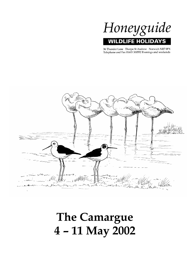

36 Thunder Lane Thorpe St Andrew Norwich NR7 0PX Telephone and Fax 01603 300552 Evenings and weekends



# **The Camargue 4 – 11 May 2002**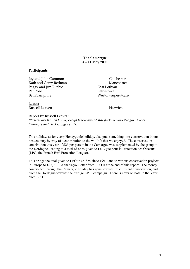**The Camargue 4 – 11 May 2002**

## **Participants**

Joy and John Gammon<br>
Kath and Gerry Redman<br>
Manchester Kath and Gerry Redman Peggy and Jim Ritchie East Lothian Pat Rose Felixstowe Beth Samphire Weston-super-Mare

Leader Russell Leavett Harwich

Report by Russell Leavett *Illustrations by Rob Hume, except black-winged stilt flock by Gary Wright. Cover: flamingos and black-winged stilts.*

This holiday, as for every Honeyguide holiday, also puts something into conservation in our host country by way of a contribution to the wildlife that we enjoyed. The conservation contribution this year of £25 per person in the Camargue was supplemented by the group in the Dordogne, leading to a total of £625 given to La Ligue pour la Protection des Oiseaux (LPO, the French Bird Protection League).

This brings the total given to LPO to £5,325 since 1991, and to various conservation projects in Europe to £25,700. A thank-you letter from LPO is at the end of this report. The money contributed through the Camargue holiday has gone towards little bustard conservation, and from the Dordogne towards the 'refuge LPO' campaign. There is news on both in the letter from LPO.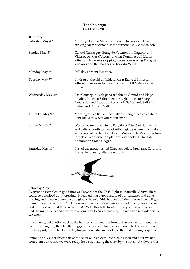# **The Camargue 4 – 11 May 2002**

| <b>Itinerary</b>              |                                                                                                                                                                                                                                                                               |
|-------------------------------|-------------------------------------------------------------------------------------------------------------------------------------------------------------------------------------------------------------------------------------------------------------------------------|
| Saturday May 4 <sup>th</sup>  | Morning flight to Marseille, then on to Arles via N568,<br>arriving early afternoon, late afternoon walk close to hotel.                                                                                                                                                      |
| Sunday May 5 <sup>th</sup>    | Central Camargue. Étang de Vaccares via Gageron and<br>Villeneuve, Mas d'Agon, lunch at Domaine de Mejanes.<br>After lunch various stopping places overlooking Etang de<br>Vaccares and the marshes of Tour du Vallat.                                                        |
| Monday May 6 <sup>th</sup>    | Full day at Mont Ventoux.                                                                                                                                                                                                                                                     |
| Tuesday May 7 <sup>th</sup>   | La Crau at the old airfield, lunch at Étang d'Entressen.<br>Afternoon in Arles followed by visit to Mt Valence after<br>dinner.                                                                                                                                               |
| Wednesday May 8 <sup>th</sup> | East Camargue - salt pans at Salin de Giraud and Plage<br>d'Arles. Lunch at Salin, then through salines to Étang du<br>Fangassier and Beauduc. Return via St Bernard, Salin de<br>Badon and Tour du Vallat.                                                                   |
| Thursday May 9 <sup>th</sup>  | Morning at Les Baux, lunch taken among pines en route to<br>Pont du Gard where afternoon spent.                                                                                                                                                                               |
| Friday May 10 <sup>th</sup>   | Western Camargue - to Le Paty de la Trinité via Gimeaux<br>and Saliers. South to Parc Ornithologique where lunch taken.<br>Afternoon at Cacharel via Les St Maries de la Mer and return<br>to Arles via observation platform overlooking Étang de<br>Vaccares and Mas d'Agon. |
| Saturday May 11 <sup>th</sup> | Part of the group visited Gimeaux before breakfast. Return to<br>Marseille for early afternoon flights.                                                                                                                                                                       |
|                               |                                                                                                                                                                                                                                                                               |

### **Saturday May 4th**

Everyone assembled in good time at Gatwick for the 09.45 flight to Marseille. Arrival there could be described as 'interesting'; it seemed that a good many of our suitcases had gone missing and it wasn't very encouraging to be told "this happens all the time and we will get them out on the next flight". However a pile of suitcases were spotted lurking up a corner and it turned out that these were ours! With this little local difficulty sorted out we soon had the minibus loaded and were on our way to Arles, enjoying the roadside red valerian as we went.

En route a great spotted cuckoo dashed across the road in front of the bus being chased by a couple of magpies; they lay their eggs in the nests of this species. Soon black kites were seen drifting past, a couple of avocets glimpsed on a distant pool and the first flamingos spotted.

Simone and Marcel greeted us at the hotel with an excellent picnic lunch and after we had sorted out our rooms we were ready for a stroll along the track by the hotel. As always this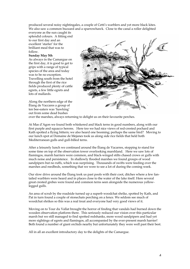produced several noisy nightingales, a couple of Cetti's warblers and yet more black kites. We also saw a common buzzard and a sparrowhawk. Close to the canal a roller delighted

everyone as the sun caught its splendid colours. A fitting end to our first day and an excellent 'starter' for the brilliant meal that was to follow.

#### **Sunday May 5th**

As always in the Camargue on the first day, it is good to get to grips with a range of typical species of the area and today was to be no exception. Travelling south from the hotel through the first of the rice fields produced plenty of cattle egrets, a few little egrets and lots of mallards.

Along the northern edge of the Étang de Vaccares a group of ten bee-eaters was 'hawking' out from some dead bushes



over the marshes, always returning to delight us on their favourite perches.

At Mas d'Agon we found both whiskered and black terns in good numbers, along with our first purple and squacco herons. Here too we had nice views of red-crested pochard and Kath spotted a flying bittern; we also heard one booming; perhaps the same bird? Moving to our lunch spot at Domaine de Mejanes took us along side rice fields that held both Mediterranean gulls and gull-billed terns.

After a leisurely lunch we continued around the Étang de Vacarres, stopping to stand for some time on top of the observation tower overlooking marshland. Here we saw lots of flamingos, marsh harriers were common, and black-winged stilts chased crows or gulls with much noise and persistence. In shallowly flooded marshes we found groups of wood sandpipers but no ruffs, which was surprising. Thousands of swifts were feeding over the marshes and reedbeds, something that we were to see a lot of during the coming week.

Our slow drive around the Étang took us past pools with their coot, ditches where a few fantailed warblers were heard and in places close to the water of the lake itself. Here several great crested grebes were found and common terns seen alongside the numerous yellowlegged gulls.

An area of scrub by the roadside turned up a superb woodchat shrike, spotted by Kath, and Pat in turn found a couple of stonechats perching on a fence. We seldom see much of woodchat shrikes so this was a real treat and everyone had very good views of it.

Moving on to Tour du Vallat brought the horror of finding that vandals had burned down the wooden observation platform there. This seriously reduced our vision over this particular marsh but we still managed to find spotted redshanks, more wood sandpipers and had yet more sightings of egrets and flamingos, all accompanied by the ever-present marsh harrier! Beth found a number of giant orchids nearby but unfortunately they were well past their best.

All in all an excellent introductory day to the delights of the Camargue.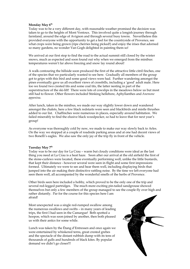#### Monday May  $6<sup>th</sup>$

Today was to be a very different day, with reasonable weather promised the decision was taken to go to the heights of Mont Ventoux. This involved quite a longish journey through farmland, around the edge of Avignon and through several busy towns. Nevertheless this provided everyone with the opportunity to get a feel for the countryside of Provence, see what crops were being grown (ripe cherries being picked!) and enjoy the irises that adorned so many gardens, no wonder Van Gogh delighted in painting them so!

We arrived at our first stop to find the road to the actual summit still closed by the winter snows, much as expected and soon found out why when we emerged from the minibus: temperatures weren't far above freezing and snow lay round about!

A walk contouring the hillside soon produced the first of the attractive little citril finches, one of the species that we particularly wanted to see here. Gradually all members of the group got to grips with this bird and some good views were had. Further wandering amongst the pines eventually gave us all excellent views of crossbills, including a 'good' adult male. Here too we found two crested tits and some coal tits, the latter nesting in part of the superstructure of the ski-lift! There were lots of cowslips in the meadows below us but most still had to flower. Other flowers included Stinking hellebore, Aphyllanthes and *Anemone appenina*.

After lunch, taken in the minibus, we made our way slightly lower down and wandered amongst the chalets, here a few black redstarts were seen and blackbirds and mistle thrushes added to our list. Chaffinches were numerous in places, especially around habitation. We failed miserably to find the elusive black woodpecker, so had to leave that for next year's group!

As everyone was thoroughly cold by now, we made to make our way slowly back to Arles. On the way we stopped at a couple of roadside parking areas and at one had decent views of two Bonelli's eagles. We also saw the only jay of the trip fly in front of the vehicle.

#### **Tuesday May 7th**

Today was to be our day for La Crau – warm but cloudy conditions were ideal as the last thing you need at La Crau is a heat haze. Soon after our arrival at the old airfield the first of the stone-curlews were located, these eventually performing well, unlike the little bustards, that kept their distance - however several were seen in flight and some first impressions formed. Ultimately we were to see and hear them well, including displaying birds that jumped into the air making their distinctive rattling noise. By the time we left everyone had seen them well, all accompanied by the wonderful smells of the herbs of Provence.

Other birds seen here included a hobby, which proved to be the only one of the trip and several red-legged partridges. The much more exciting pin-tailed sandgrouse showed themselves but only a few members of the group managed to see the couple fly over high and rather distantly. Par for the course for this species here I am afraid!

Most unexpected was a single red-rumped swallow among the numerous swallows and swifts – in many years of leading trips, the first I had seen in the Camargue! Beth spotted a hoopoe, which was soon joined by another, then both pleased us with their antics for some while.

Lunch was taken by the Étang d'Entressen and once again we were entertained by whiskered terns, great crested grebes and the spectacle of the distant rubbish dump with its tens of thousands of gulls and hundreds of black kites. By popular demand we didn't go closer!!!

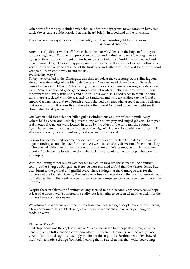Other birds for the day included whinchat, our first woodpigeons, never common here, two turtle doves, and a golden oriole that was heard briefly in woodland at the lunch site.

The afternoon was spent savouring the delights of the interesting old town of Arles. *red-rumped swallow*

After an early dinner we set off for the short drive to Mt Valence in the hope of finding the resident eagle owl. The evening proved to be ideal and at dusk we saw a few crag martins flying by the cliffs and as it got darker heard a distant nightjar. Suddenly John yelled and there it was, a large dark owl flapping ponderously around the corner of a crag. Although a very brief view everyone got a feel of the birds size and, after a while, saw it for a split second yet again. A splendid way to end the day.

#### **Wednesday May 8th**

Today we returned to the Camargue, this time to look at the vast complex of saline lagoons along the eastern edge of the Étang de Vaccares. We journeyed down through Salin de Giraud as far as the Plage d'Arles, calling in on a series of saltpans of varying salinities as we went. Several contained good gatherings of coastal waders, including some lovely curlew sandpipers and lively little stints and dunlin. This was also a good place to catch up with terns more associated with the sea, such as Sandwich and little terns. Here too we found a superb Caspian tern, and two French birders showed us a grey phalarope that was so distant that none of us put it on our lists but we took their word for it and hoped we might see it closer later that day – we didn't!

One lagoon held three slender-billed gulls including one adult in splendid pink livery! Others held avocets and kentish plovers along with a few grey and ringed plovers. Both pied and spotted flycatchers were located in scrub by the edges of the saltpans, the spotted flycatcher eventually ending up feeding on the edge of a lagoon along with a wheatear. All in all a nice mix of typical and not so typical species of this habitat.

By now the weather had become decidedly wet so we drove back to Salin de Giraud in the hope of finding a suitable place for lunch. As we unsuccessfully drove out of the town a large white opened- sided but empty marquee appeared on our left, perfect, so lunch was taken therein! While having lunch a lovely male black redstart entertained us by perching on the guy ropes!

With continuing rather mixed weather we moved on through the salines to the flamingo colony at the Étang du Fangassier. Here we were shocked to find that the Visitor Centre had been burnt to the ground and graffiti everywhere stating that the Camargue was for the hunters not the tourists! Clearly the destroyed observation platform that we had seen at Tour du Vallat earlier in the week was part of a concerted campaign to discourage green tourism in the area.

Despite these problems the flamingo colony seemed to be intact and very active, so we hope at least the birds haven't suffered too badly, but it remains to be seen what other activities the hunters have up their sleeves.

We returned to Arles via a number of roadside marshes, seeing a couple more purple herons, a few cormorants, lots of black-winged stilts, some redshanks and a roller perching on roadside wires.

#### **Thursday May 9th**

First stop today was the eagle owl site at Mt Valence, in the faint hope that it might just be perching out in full view on a crag somewhere – it wasn't! However, we had really close views of short-toed eagles, amazingly the first of this trip and a Sardinian warbler showed itself well, it made a change from only hearing them. But what was that 'wild' boar doing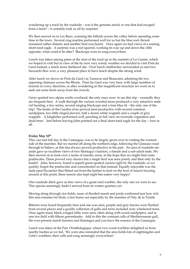wandering up a track by the roadside – was it the genuine article or one that had escaped from a farm? – it certainly took us all by surprise!

We then moved on to Les Baux, scanning the hillside across the valley before spending some time in the town. Several crag martins performed well for us but the blue rock thrush remained rather distant, and another bird was heard. Once again we had views of a soaring short-toed eagle. A surprise was a red squirrel, working its way up and down the cliffs opposite, what could it be after? Blackcaps were in song everywhere.

Lunch was taken among pines at the start of the road up to the summit of La Caume, which we hoped to visit but in view of the by now very windy weather we decided to visit Pont du Gard instead, a much more sheltered site. Over lunch chaffinches surrounded us and two buzzards flew over, a very pleasant place to have lunch despite the strong wind.

After lunch we drove on Pont du Gard via Tarascon and Beaucaire, admiring the two opposing chateaux across the Rhone. Pont du Gard was very busy with large numbers of tourists in every direction, so after wondering at this magnificent structure we went on to seek out some birds away from the crowds.

Gerry spotted two alpine swifts overhead, the only ones were to see this trip – normally they are frequent here. A walk through the various wooded areas produced a very attractive male cirl bunting, a few serins, several singing blackcaps and a lone blue tit – the only one of the trip! The banks of the Gardon river proved most productive with several common sandpipers, two little ringed plovers, half a dozen white wagtails and a couple of grey wagtails. A kingfisher performed well, perching in full view on riverside vegetation and dead trees. Just before leaving John pointed out a final short-toed eagle for the day – four in all.

#### Friday May  $10^{th}$

This, our last full day in the Camargue, was to be largely given over to visiting the western side of the marshes. But we started off along the northern edge, following the Gimeaux road through to Saliers, as this has always proved productive in the past. An area of roadside setaside gave us excellent views of two Montagu's harriers, a female and a sub-adult male. We then moved on to look over a series of marshy areas, in the hope that we might find some pratincoles. These proved very elusive but a single bird was seen poorly and then only by the leader! John, however, found a superb great-spotted cuckoo right by the roadside, so we quickly forgot the pratincoles and concentrated on that instead. Equally enjoyable was the male pied flycatcher that flitted out from the bushes to feed on the host of insects buzzing around at this point; these insects also kept eight bee-eaters very happy!

One roadside ditch gave us fine views of a great reed warbler, the only one we were to see. This species seemingly hadn't arrived from its winter quarters yet.

Moving along through rice fields, areas of flooded marsh and pools confirmed just how rich this area remains for birds, a fact borne out especially by the marshes of Paty de la Trinité.

Bitterns were heard frequently here and one was seen, purple and grey herons were flushed from several places and a goodly collection of gulls and terns included sixty whiskered terns. Once again many black-winged stilts were seen, often along with wood sandpipers, and in one rice field with fifteen greenshanks. Add to this the constant calls of Mediterranean gull, the ever-present marsh harriers and flamingos and you have the essence of the Camargue.

Lunch was taken at the Parc Ornithologique, where two wood warblers delighted us from nearby bushes as we fed. We were also reminded that the area holds lots of nightingales and Cetti's warblers, their calls and song seemingly everywhere!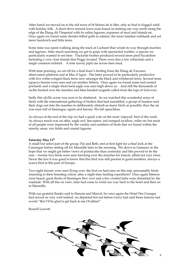After lunch we moved on to the old town of St Maries de la Mer, only to find it clogged solid with holiday folk. A short drive around town soon found us making our way north along the edge of the Étang dit l'Imperial with its saline lagoons, expanses of mud and islands etc. Once again we found some slender-billed gulls to admire, the more familiar redshank and yet more Sandwich and little terns.

Some time was spent walking along the track at Cacharel that winds its way through marshes and lagoons. After much searching we got to grips with spectacled warbler, a species we particularly wanted to see here. Trackside bushes produced several more pied flycatchers including a very close female that Peggy located. There were also a few whinchats and a single common redstart. A lone tawny pipit ran across bare mud.

With time pressing, we set off for a final hour's birding from the Étang de Vaccares observation platform and at Mas d'Agon. The latter proved to be particularly productive with five white-winged black terns now amongst the black and whiskered terns. Several more squacco herons were seen and yet another bittern. Once again we found some red-crested pochards and a single short-toed eagle was seen high above us. And still the thousands of swifts hunted over the marshes and blue-headed wagtails called from the tops of *Salicornia*.

Sadly this idyllic scene was soon to be shattered. As we watched this wonderful array of birds with the international gathering of birders that had assembled, a group of hunters sent their dogs out into the marshes to deliberately disturb as many birds as possible, thus the air was soon full of flamingos, egrets and herons. We left speechless.

As always at the end of the trip we had a quick vote on the most 'enjoyed' bird of the week. As always much was on offer, eagle owl, bee-eaters, red-rumped swallow, roller etc but most of all people were impressed by the variety and numbers of birds that we found within the marshy areas, rice fields and coastal lagoons.

#### Saturday May 11<sup>th</sup>

A small but select part of the group, Pat and Beth, met at first light for a final look at the Camargue before setting off for Marseille later in the morning. We drove to Gimeaux in the hope that we might get better views of pratincoles than yesterday and this proved to be the case – twenty-five birds were seen hawking over the marshes for insects, albeit not very close. Never the less it was good to know that this bird was still present in good numbers, always a scarce bird in this part of Europe.

Two night herons were seen flying over, the first we had seen on this trip, presumably birds returning to their breeding colony after a night time feeding expedition? Once again bitterns were heard, great flocks of flamingos flew over and a few crested larks were disturbed by the roadside. With all this on view, time had come to wind our way back to the hotel and then on to Marseille.

With our grateful thanks said to Simone and Marcel, for once again the Hotel Des Granges had served us very well indeed, we departed but not before Gerry had said those famous last words "But I'll be glad to get back to me Ovaltine!"

Russell Leavett

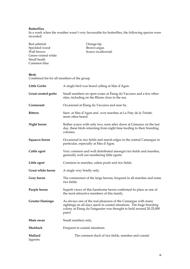# **Butterflies**

In a week when the weather wasn't very favourable for butterflies, the following species were recorded:

| Red admiral        | Orange-tip         |
|--------------------|--------------------|
|                    |                    |
| Speckled wood      | Brown argus        |
| Wall brown         | Scarce swallowtail |
| Green-veined white |                    |
| Small heath        |                    |
| Common blue        |                    |

#### **Birds**

Combined list for all members of the group.

| <b>Little Grebe</b>      | A single bird was heard calling at Mas d'Agon.                                                                                                                                                                        |
|--------------------------|-----------------------------------------------------------------------------------------------------------------------------------------------------------------------------------------------------------------------|
| Great crested grebe      | Small numbers on open water at Étang du Vaccares and a few other<br>sites, including on the Rhone close to the sea.                                                                                                   |
| Cormorant                | Occasional at Étang du Vaccares and near by.                                                                                                                                                                          |
| <b>Bittern</b>           | Seen at Mas d'Agon and over marshes at Le Paty de la Trinité,<br>more often heard.                                                                                                                                    |
| Night heron              | Rather scarce with only two, soon after dawn at Gimeaux on the last<br>day, these birds returning from night time feeding to their breeding<br>colonies.                                                              |
| Squacco heron            | Occasional in rice fields and marsh edges in the central Camargue in<br>particular, especially at Mas d'Agon.                                                                                                         |
| Cattle egret             | Very common and well distributed amongst rice fields and marshes,<br>generally well out numbering little egrets.                                                                                                      |
| Little egret             | Common in marshes, saline pools and rice fields.                                                                                                                                                                      |
| <b>Great white heron</b> | A single very briefly only.                                                                                                                                                                                           |
| Grey heron               | The commonest of the large herons, frequent in all marshes and some<br>rice fields.                                                                                                                                   |
| Purple heron             | Superb views of this handsome heron confirmed its place as one of<br>the most attractive members of this family.                                                                                                      |
| Greater flamingo         | As always one of the real pleasures of the Camargue with many<br>sightings on all days spent in coastal situations. The huge breeding<br>colony at Étang du Fangassier was thought to hold around 20-25,000<br>pairs! |
| Mute swan                | Small numbers only.                                                                                                                                                                                                   |
| Shelduck                 | Frequent in coastal situations.                                                                                                                                                                                       |
| Mallard<br>lagoons.      | The common duck of rice fields, marshes and coastal                                                                                                                                                                   |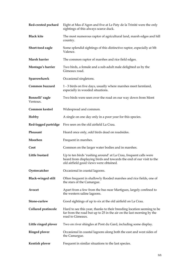| Red-crested pochard         | Eight at Mas d'Agon and five at Le Paty de la Trinité were the only<br>sightings of this always scarce duck.                                                                      |
|-----------------------------|-----------------------------------------------------------------------------------------------------------------------------------------------------------------------------------|
| <b>Black kite</b>           | The most numerous raptor of agricultural land, marsh edges and hill<br>country.                                                                                                   |
| Short-toed eagle            | Some splendid sightings of this distinctive raptor, especially at Mt<br>Valence.                                                                                                  |
| Marsh harrier               | The common raptor of marshes and rice field edges.                                                                                                                                |
| Montagu's harrier           | Two birds, a female and a sub-adult male delighted us by the<br>Gimeaux road.                                                                                                     |
| Sparrowhawk                 | Occasional singletons.                                                                                                                                                            |
| Common buzzard              | 1 - 3 birds on five days, usually where marshes meet farmland,<br>especially in wooded situations.                                                                                |
| Bonnelli' eagle<br>Ventoux. | Two birds were seen over the road on our way down from Mont                                                                                                                       |
| Common kestrel              | Widespread and common.                                                                                                                                                            |
| Hobby                       | A single on one day only in a poor year for this species.                                                                                                                         |
| Red-legged partridge        | Five seen on the old airfield La Crau.                                                                                                                                            |
| Pheasant                    | Heard once only, odd birds dead on roadsides.                                                                                                                                     |
| Moorhen                     | Frequent in marshes.                                                                                                                                                              |
| Coot                        | Common on the larger water bodies and in marshes.                                                                                                                                 |
| Little bustard              | Up to ten birds 'rushing around' at La Crau, frequent calls were<br>heard from displaying birds and towards the end of our visit to the<br>old airfield good views were obtained. |
| Oystercatcher               | Occasional in coastal lagoons.                                                                                                                                                    |
| <b>Black-winged stilt</b>   | Often frequent in shallowly flooded marshes and rice fields, one of<br>the stars of the Camargue.                                                                                 |
| Avocet                      | Apart from a few from the bus near Martigues, largely confined to<br>the western saline lagoons.                                                                                  |
| Stone-curlew                | Good sightings of up to six at the old airfield on La Crau.                                                                                                                       |
| <b>Collared pratincole</b>  | Hard to see this year, thanks to their breeding location seeming to be<br>far from the road but up to 25 in the air on the last morning by the<br>road to Gimeaux.                |
| Little ringed plover        | Two on river shingles at Pont du Gard, including some display.                                                                                                                    |
| <b>Ringed plover</b>        | Occasional in coastal lagoons along both the east and west sides of<br>the Camargue.                                                                                              |
| Kentish plover              | Frequent in similar situations to the last species.                                                                                                                               |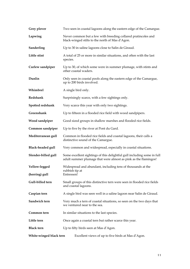| Grey plover              | Two seen in coastal lagoons along the eastern edge of the Camargue.                                                                        |
|--------------------------|--------------------------------------------------------------------------------------------------------------------------------------------|
| Lapwing                  | Never common but a few with breeding collared pratincoles and<br>black-winged stilts to the north of Mas d'Agon.                           |
| Sanderling               | Up to 30 in saline lagoons close to Salin de Giraud.                                                                                       |
| Little stint             | A total of 25 or more in similar situations, and often with the last<br>species.                                                           |
| Curlew sandpiper         | Up to 30, of which some were in summer plumage, with stints and<br>other coastal waders.                                                   |
| Dunlin                   | Only seen in coastal pools along the eastern edge of the Camargue,<br>up to 200 birds involved.                                            |
| Whimbrel                 | A single bird only.                                                                                                                        |
| Redshank                 | Surprisingly scarce, with a few sightings only.                                                                                            |
| Spotted redshank         | Very scarce this year with only two sightings.                                                                                             |
| Greenshank               | Up to fifteen in a flooded rice field with wood sandpipers.                                                                                |
| Wood sandpiper           | Good sized groups in shallow marshes and flooded rice fields.                                                                              |
| Common sandpiper         | Up to five by the river at Pont du Gard.                                                                                                   |
| Mediterranean gull       | Common in flooded rice fields and coastal lagoons, their calls a<br>distinctive sound of the Camargue.                                     |
| <b>Black-headed gull</b> | Very common and widespread, especially in coastal situations.                                                                              |
| Slender-billed gull      | Some excellent sightings of this delightful gull including some in full<br>adult summer plumage that were almost as pink as the flamingos! |
| Yellow-legged            | Widespread and abundant, including tens of thousands at the                                                                                |
| (herring) gull           | rubbish tip at<br>Entressen!                                                                                                               |
| Gull-billed tern         | Small groups of this distinctive tern were seen in flooded rice fields<br>and coastal lagoons.                                             |
| Caspian tern             | A single bird was seen well in a saline lagoon near Salin de Giraud.                                                                       |
| Sandwich tern            | Very much a tern of coastal situations, so seen on the two days that<br>we ventured near to the sea.                                       |
| Common tern              | In similar situations to the last species.                                                                                                 |
| Little tern              | Once again a coastal tern but rather scarce this year.                                                                                     |
| <b>Black tern</b>        | Up to fifty birds seen at Mas d'Agon.                                                                                                      |
| White-winged black tern  | Excellent views of up to five birds at Mas d'Agon.                                                                                         |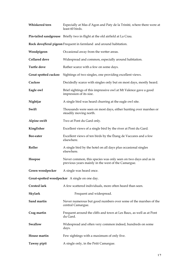| Whiskered tern       | Especially at Mas d'Agon and Paty de la Trinité, where there were at<br>least 60 birds.                              |
|----------------------|----------------------------------------------------------------------------------------------------------------------|
|                      | Pin-tailed sandgrouse Briefly two in flight at the old airfield at La Crau.                                          |
|                      | Rock dove/feral pigeon Frequent in farmland and around habitation.                                                   |
| Woodpigeon           | Occasional away from the wetter areas.                                                                               |
| <b>Collared dove</b> | Widespread and common, especially around habitation.                                                                 |
| <b>Turtle dove</b>   | Rather scarce with a few on some days.                                                                               |
| Great spotted cuckoo | Sightings of two singles, one providing excellent views.                                                             |
| Cuckoo               | Decidedly scarce with singles only but on most days, mostly heard.                                                   |
| Eagle owl            | Brief sightings of this impressive owl at Mt Valence gave a good<br>impression of its size.                          |
| Nightjar             | A single bird was heard churring at the eagle owl site.                                                              |
| Swift                | Thousands were seen on most days, either hunting over marshes or<br>steadily moving north.                           |
| Alpine swift         | Two at Pont du Gard only.                                                                                            |
| Kingfisher           | Excellent views of a single bird by the river at Pont du Gard.                                                       |
| Bee-eater            | Excellent views of ten birds by the Étang de Vaccares and a few<br>elsewhere.                                        |
| Roller               | A single bird by the hotel on all days plus occasional singles<br>elsewhere.                                         |
| Hoopoe               | Never common, this species was only seen on two days and as in<br>previous years mainly in the west of the Camargue. |
| Green woodpecker     | A single was heard once.                                                                                             |
|                      | Great-spotted woodpecker A single on one day.                                                                        |
| <b>Crested lark</b>  | A few scattered individuals, more often heard than seen.                                                             |
| <b>Skylark</b>       | Frequent and widespread.                                                                                             |
| Sand martin          | Never numerous but good numbers over some of the marshes of the<br>central Camargue.                                 |
| Crag martin          | Frequent around the cliffs and town at Les Baux, as well as at Pont<br>du Gard.                                      |
| Swallow              | Widespread and often very common indeed, hundreds on some<br>days.                                                   |
| House martin         | Few sightings with a maximum of only five.                                                                           |
| Tawny pipit          | A single only, in the Petit Camargue.                                                                                |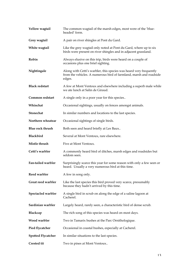| Yellow wagtail            | The common wagtail of the marsh edges, most were of the 'blue-<br>headed' form.                                                                    |
|---------------------------|----------------------------------------------------------------------------------------------------------------------------------------------------|
| Grey wagtail              | A pair on river shingles at Pont du Gard.                                                                                                          |
| White wagtail             | Like the grey wagtail only noted at Pont du Gard, where up to six<br>birds were present on river shingles and in adjacent grassland.               |
| Robin                     | Always elusive on this trip, birds were heard on a couple of<br>occasions plus one brief sighting.                                                 |
| Nightingale               | Along with Cetti's warbler, this species was heard very frequently<br>from the vehicles. A numerous bird of farmland, marsh and roadside<br>edges. |
| <b>Black redstart</b>     | A few at Mont Ventoux and elsewhere including a superb male while<br>we ate lunch at Salin de Giraud.                                              |
| Common redstart           | A single only in a poor year for this species                                                                                                      |
| Whinchat                  | Occasional sightings, usually on fences amongst animals.                                                                                           |
| <b>Stonechat</b>          | In similar numbers and locations to the last species.                                                                                              |
| Northern wheatear         | Occasional sightings of single birds.                                                                                                              |
| <b>Blue rock thrush</b>   | Both seen and heard briefly at Les Baux                                                                                                            |
| <b>Blackbird</b>          | Several at Mont Ventoux, rare elsewhere.                                                                                                           |
| Mistle thrush             | Five at Mont Ventoux.                                                                                                                              |
| Cetti's warbler           | A commonly heard bird of ditches, marsh edges and roadsides but<br>seldom seen.                                                                    |
| Fan-tailed warbler        | Surprisingly scarce this year for some reason with only a few seen or<br>heard. Usually a very numerous bird at this time.                         |
| Reed warbler              | A few in song only.                                                                                                                                |
| Great reed warbler        | Like the last species this bird proved very scarce, presumably<br>because they hadn't arrived by this time.                                        |
| Spectacled warbler        | A single bird in scrub on along the edge of a saline lagoon at<br>Cacherel.                                                                        |
| Sardinian warbler         | Largely heard, rarely seen, a characteristic bird of dense scrub.                                                                                  |
| Blackcap                  | The rich song of this species was heard on most days.                                                                                              |
| Wood warbler              | Two in Tamarix bushes at the Parc Ornithologique.                                                                                                  |
| <b>Pied flycatcher</b>    | Occasional in coastal bushes, especially at Cacherel.                                                                                              |
| <b>Spotted Flycatcher</b> | In similar situations to the last species.                                                                                                         |
| <b>Crested tit</b>        | Two in pines at Mont Ventoux                                                                                                                       |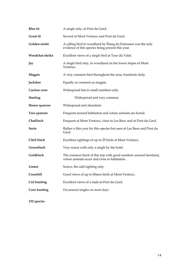| <b>Blue</b> tit     | A single only, at Pont du Gard                                                                                     |
|---------------------|--------------------------------------------------------------------------------------------------------------------|
| <b>Great tit</b>    | Several at Mont Ventoux and Pont du Gard.                                                                          |
| Golden oriole       | A calling bird in woodland by Étang du Entressen was the only<br>evidence of this species being present this year. |
| Woodchat shrike     | Excellent views of a single bird at Tour du Valat.                                                                 |
| Jay                 | A single bird only, in woodland on the lower slopes of Mont<br>Ventoux.                                            |
| Magpie              | A very common bird throughout the area, hundreds daily.                                                            |
| Jackdaw             | Equally as common as magpie.                                                                                       |
| <b>Carrion</b> crow | Widespread but in small numbers only.                                                                              |
| <b>Starling</b>     | Widespread and very common.                                                                                        |
| House sparrow       | Widespread and abundant.                                                                                           |
| Tree sparrow        | Frequent around habitation and where animals are found.                                                            |
| Chaffinch           | Frequent at Mont Ventoux, close to Les Baux and at Pont du Gard.                                                   |
| Serin               | Rather a thin year for this species but seen at Les Baux and Pont du<br>Gard.                                      |
| Citril finch        | Excellent sightings of up to 25 birds at Mont Ventoux.                                                             |
| Greenfinch          | Very scarce with only a single by the hotel.                                                                       |
| Goldfinch           | The common finch of this trip with good numbers around farmland,<br>where animals occur and close to habitation.   |
| Linnet              | Scarce, the odd sighting only.                                                                                     |
| Crossbill           | Good views of up to fifteen birds at Mont Ventoux.                                                                 |
| Cirl bunting        | Excellent views of a male at Pont du Gard.                                                                         |
| Corn bunting        | Occasional singles on most days.                                                                                   |

**132 species**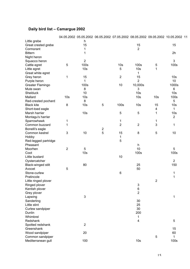# **Daily bird list – Camargue 2002**

|                      |                 |                 |                  | 04.05.2002 05.05.2002 06.05.2002 07.05.2002 08.05.2002 09.05.2002 10.05.2002 11 |                 |                 |                 |  |
|----------------------|-----------------|-----------------|------------------|---------------------------------------------------------------------------------|-----------------|-----------------|-----------------|--|
| Little grebe         |                 | h               |                  |                                                                                 |                 |                 |                 |  |
| Great crested grebe  |                 | 15              |                  |                                                                                 | 15              |                 | 15              |  |
| Cormorant            |                 | $\mathbf{1}$    |                  |                                                                                 | $\overline{2}$  |                 |                 |  |
| <b>Bittern</b>       |                 | 1               |                  |                                                                                 |                 |                 | 2h              |  |
| Night heron          |                 |                 |                  |                                                                                 |                 |                 |                 |  |
| Squacco heron        |                 | $\overline{2}$  |                  |                                                                                 |                 |                 | 3               |  |
| Cattle egret         | 5               | 100s            |                  | 10 <sub>s</sub>                                                                 | 100s            | 5               | 100s            |  |
| Little egret         |                 | 10 <sub>s</sub> |                  | 5                                                                               | 10 <sub>s</sub> | 1               |                 |  |
| Great white egret    |                 |                 |                  |                                                                                 | 1               |                 |                 |  |
| Grey heron           | 1               | 15              |                  | $\overline{2}$                                                                  | 15              |                 | 10 <sub>s</sub> |  |
| Purple heron         |                 | 1               |                  |                                                                                 | $\overline{2}$  |                 | 10              |  |
|                      |                 | 100s            |                  | 10                                                                              | 10,000s         |                 | 1000s           |  |
| Greater Flamingo     |                 |                 |                  |                                                                                 |                 |                 |                 |  |
| Mute swan            |                 | 8               |                  |                                                                                 | 3               |                 | $\,6\,$         |  |
| Shelduck             |                 | 10              |                  |                                                                                 | 10 <sub>s</sub> |                 | 10 <sub>s</sub> |  |
| Mallard              | 10 <sub>s</sub> | 10 <sub>s</sub> |                  |                                                                                 | 10 <sub>s</sub> | 10 <sub>s</sub> | 100s            |  |
| Red-crested pochard  |                 | 8               |                  |                                                                                 |                 |                 | 5               |  |
| <b>Black kite</b>    | $\bf 8$         | 10 <sub>s</sub> | 5                | 100s                                                                            | 10 <sub>s</sub> | 15              | 10 <sub>s</sub> |  |
| Short-toed eagle     |                 |                 |                  |                                                                                 |                 | 4               | 1               |  |
| Marsh harrier        |                 | 10 <sub>s</sub> |                  | 5                                                                               | $\sqrt{5}$      | 1               | 10 <sub>s</sub> |  |
| Montagu's harrier    |                 |                 |                  |                                                                                 |                 |                 | $\sqrt{2}$      |  |
| Sparrowhawk          | 1               |                 |                  | 1                                                                               |                 | $\mathbf 1$     |                 |  |
| Common buzzard       | 1               |                 |                  | $\overline{2}$                                                                  | $\overline{2}$  | 3               | 1               |  |
| Bonelli's eagle      |                 |                 | $\boldsymbol{2}$ |                                                                                 |                 |                 |                 |  |
| Common kestrel       | 3               | 10              | 5                | 15                                                                              | 8               | 5               | $10$            |  |
| Hobby                |                 |                 |                  | 1                                                                               |                 |                 |                 |  |
| Red-legged partridge |                 |                 |                  | 5                                                                               |                 |                 |                 |  |
| Pheasant             |                 |                 |                  |                                                                                 | h               |                 |                 |  |
| Moorhen              | 2               | 5               |                  |                                                                                 | 10              |                 | 5               |  |
| Coot                 |                 | 10 <sub>s</sub> |                  |                                                                                 | 100s            |                 | 100s            |  |
| Little bustard       |                 |                 |                  | 10                                                                              |                 |                 |                 |  |
|                      |                 |                 |                  |                                                                                 |                 |                 | $\overline{2}$  |  |
| Oystercatcher        |                 |                 |                  |                                                                                 |                 |                 |                 |  |
| Black-winged stilt   |                 | 80              |                  |                                                                                 | 25              |                 | 150             |  |
| Avocet               | 5               |                 |                  |                                                                                 | 50              |                 |                 |  |
| Stone-curlew         |                 |                 |                  | 6                                                                               |                 |                 | 1               |  |
| Pratincole           |                 |                 |                  |                                                                                 |                 |                 | 1               |  |
| Little ringed plover |                 |                 |                  |                                                                                 |                 | $\overline{2}$  |                 |  |
| Ringed plover        |                 |                 |                  |                                                                                 | 3               |                 |                 |  |
| Kentish plover       |                 |                 |                  |                                                                                 | $\,6$           |                 |                 |  |
| Grey plover          |                 |                 |                  |                                                                                 | $\overline{2}$  |                 |                 |  |
| Lapwing              |                 | 3               |                  |                                                                                 |                 |                 | 1               |  |
| Sanderling           |                 |                 |                  |                                                                                 | 30              |                 |                 |  |
| Little stint         |                 |                 |                  |                                                                                 | 25              |                 |                 |  |
| Curlew sandpiper     |                 |                 |                  |                                                                                 | 30              |                 |                 |  |
| Dunlin               |                 |                 |                  |                                                                                 | 200             |                 |                 |  |
| Whimbrel             |                 |                 |                  |                                                                                 | 1               |                 |                 |  |
| Redshank             |                 |                 |                  |                                                                                 | 4               |                 | 5               |  |
| Spotted redshank     |                 | $\overline{2}$  |                  |                                                                                 |                 |                 |                 |  |
| Greenshank           |                 |                 |                  |                                                                                 |                 |                 | 15              |  |
| Wood sandpiper       |                 | 20              |                  |                                                                                 |                 |                 | 60              |  |
| Common sandpiper     |                 |                 |                  |                                                                                 |                 | 5               | 1               |  |
|                      |                 | 100             |                  |                                                                                 | 10 <sub>s</sub> |                 | 100s            |  |
| Mediterranean gull   |                 |                 |                  |                                                                                 |                 |                 |                 |  |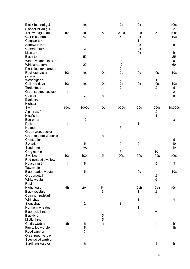| Black-headed gull<br>Slender-billed gull |                 | 10 <sub>s</sub>           |                 | 10 <sub>s</sub>           | 10 <sub>s</sub><br>3 |                          | 100s<br>$\overline{2}$  |
|------------------------------------------|-----------------|---------------------------|-----------------|---------------------------|----------------------|--------------------------|-------------------------|
| Yellow-legged gull                       | 10 <sub>s</sub> | 10 <sub>s</sub>           | 5               | 1000s                     | 100s                 | 5                        | 100s                    |
| Gull-billed tern                         |                 | 40                        |                 | 5                         | 10 <sub>s</sub>      |                          | 10 <sub>s</sub>         |
| Caspian tern                             |                 |                           |                 |                           | 1                    |                          |                         |
| Sandwich tern                            |                 |                           |                 |                           | 10 <sub>s</sub>      |                          | h                       |
| Common tern                              |                 | $\mathbf 2$               |                 |                           | 10 <sub>s</sub>      |                          |                         |
| Little tern                              |                 |                           |                 |                           | 10 <sub>s</sub>      |                          | h                       |
| <b>Black tern</b>                        |                 | 50                        |                 |                           |                      |                          | 25                      |
| White-winged black tern                  |                 |                           |                 |                           |                      |                          | 5                       |
| Whiskered tern                           |                 | 20                        |                 | 12                        |                      |                          | 60                      |
| Pin-tailed sandgrouse                    |                 |                           |                 | $\overline{2}$            |                      |                          |                         |
| Rock dove/feral                          | 10 <sub>s</sub> | 10 <sub>s</sub>           | 10 <sub>s</sub> | 10 <sub>s</sub>           | 10 <sub>s</sub>      | 10 <sub>s</sub>          | 10 <sub>s</sub>         |
| pigeon                                   |                 |                           |                 |                           |                      |                          |                         |
| Woodpigeon                               |                 |                           |                 | $\overline{2}$            |                      | 1                        |                         |
| Collared dove                            | 10 <sub>s</sub> | 10 <sub>s</sub>           | 10 <sub>s</sub> | 10 <sub>s</sub>           | 10 <sub>s</sub>      | 10 <sub>s</sub>          | 10 <sub>s</sub>         |
| Turtle dove                              |                 |                           |                 | 2                         |                      | $\overline{2}$           | 5                       |
| Great spotted cuckoo                     | 1               |                           |                 |                           |                      |                          | $\overline{\mathbf{c}}$ |
| Cuckoo                                   |                 | 3                         | h               | h                         | $\mathsf{h}$         | h                        | h                       |
| Eagle owl                                |                 |                           |                 | 1                         |                      |                          |                         |
| Nightjar                                 |                 |                           |                 | 1 <sub>h</sub>            |                      |                          |                         |
| Swift                                    | 100s            | 1000s                     | 10 <sub>s</sub> | 1000s                     | 100s                 | 1000s                    | 10,000s                 |
| Alpine swift                             |                 |                           |                 |                           |                      | $\overline{\mathbf{c}}$  |                         |
| Kingfisher                               |                 |                           |                 |                           |                      | 1                        |                         |
| Bee-eater                                |                 | 10                        |                 |                           |                      |                          | 8                       |
| Roller                                   | 1               | 1                         |                 | 1                         | 1                    |                          |                         |
| Hoopoe                                   |                 |                           |                 | 3                         |                      |                          | 1                       |
| Green woodpecker                         |                 | 1                         |                 |                           |                      |                          |                         |
| Great-spotted w'pecker                   |                 |                           | h               |                           |                      |                          |                         |
| <b>Crested lark</b>                      |                 |                           |                 |                           |                      |                          | 5                       |
| <b>Skylark</b>                           |                 | 5                         |                 | 5                         | 5                    |                          | 10                      |
| Sand martin                              |                 | 10 <sub>s</sub>           |                 |                           |                      |                          | 10                      |
| Crag martin                              |                 |                           |                 | 3                         |                      | 10                       |                         |
| Swallow                                  | 10 <sub>s</sub> | 100s                      | 5               | 100s                      | 100s                 | 100s                     | 100s                    |
| Red-rumped swallow                       |                 |                           |                 | 1                         |                      |                          |                         |
| House martin                             | 1               | 5                         |                 |                           |                      | 5                        | $\mathbf{3}$            |
| Tawny pipit                              |                 |                           |                 |                           |                      |                          | $\mathbf 1$             |
| Blue-headed wagtail                      |                 | 5                         |                 |                           | 10 <sub>s</sub>      |                          | 10 <sub>s</sub>         |
| Grey wagtail                             |                 |                           |                 |                           |                      | $\overline{c}$           |                         |
| White wagtail                            |                 |                           |                 |                           |                      | 6                        |                         |
| Robin                                    |                 |                           | 1               |                           |                      | h                        |                         |
| Nightingale                              | 5h              | 20h                       | 5h              | $\boldsymbol{\mathsf{h}}$ | 10sh                 | 10sh                     | 10sh                    |
| <b>Black redstart</b>                    |                 |                           | 3               |                           | 1                    | $\overline{2}$           |                         |
| Common redstart                          |                 |                           |                 |                           |                      |                          | 1                       |
| Whinchat                                 |                 |                           |                 | 1                         | 1                    |                          | 4                       |
| Stonechat                                |                 | $\sqrt{2}$                |                 | 3                         |                      |                          |                         |
| Northern wheatear                        |                 |                           | 1               |                           | 1                    |                          | 1                       |
| Blue rock thrush                         |                 |                           |                 |                           |                      | $h + 1$                  |                         |
| Blackbird                                |                 |                           | 5               |                           |                      |                          | 1                       |
| Mistle thrush                            |                 |                           | 5               |                           |                      |                          |                         |
| Cetti's warbler                          | 3h              | h                         | h               | $\boldsymbol{\mathsf{h}}$ | h                    | h                        | h                       |
| Fan-tailed warbler                       |                 | 5                         |                 |                           |                      |                          | 1 <sub>h</sub>          |
| Reed warbler                             |                 | 3                         |                 |                           |                      |                          | 1                       |
| Great reed warbler                       |                 |                           |                 |                           |                      |                          | 1                       |
| Spectacled warbler                       |                 |                           |                 |                           |                      |                          | 1                       |
| Sardinian warbler                        |                 | $\boldsymbol{\mathsf{h}}$ |                 | h                         |                      | $\overline{\phantom{a}}$ | $\sf h$                 |